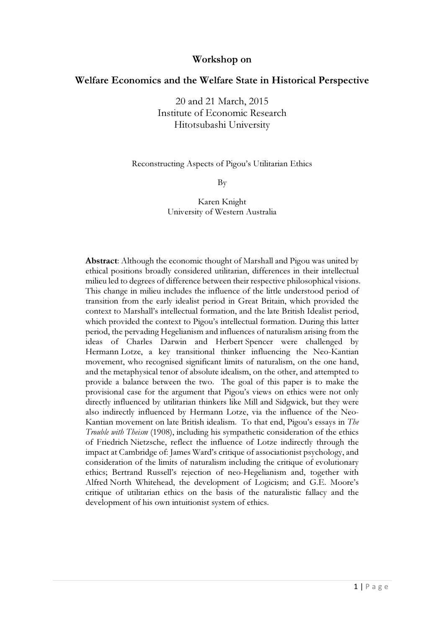## Workshop on

# Welfare Economics and the Welfare State in Historical Perspective

20 and 21 March, 2015 Institute of Economic Research Hitotsubashi University

#### Reconstructing Aspects of Pigou's Utilitarian Ethics

By

Karen Knight University of Western Australia

Abstract: Although the economic thought of Marshall and Pigou was united by ethical positions broadly considered utilitarian, differences in their intellectual milieu led to degrees of difference between their respective philosophical visions. This change in milieu includes the influence of the little understood period of transition from the early idealist period in Great Britain, which provided the context to Marshall's intellectual formation, and the late British Idealist period, which provided the context to Pigou's intellectual formation. During this latter period, the pervading Hegelianism and influences of naturalism arising from the ideas of Charles Darwin and Herbert Spencer were challenged by Hermann Lotze, a key transitional thinker influencing the Neo-Kantian movement, who recognised significant limits of naturalism, on the one hand, and the metaphysical tenor of absolute idealism, on the other, and attempted to provide a balance between the two. The goal of this paper is to make the provisional case for the argument that Pigou's views on ethics were not only directly influenced by utilitarian thinkers like Mill and Sidgwick, but they were also indirectly influenced by Hermann Lotze, via the influence of the Neo-Kantian movement on late British idealism. To that end, Pigou's essays in The Trouble with Theism (1908), including his sympathetic consideration of the ethics of Friedrich Nietzsche, reflect the influence of Lotze indirectly through the impact at Cambridge of: James Ward's critique of associationist psychology, and consideration of the limits of naturalism including the critique of evolutionary ethics; Bertrand Russell's rejection of neo-Hegelianism and, together with Alfred North Whitehead, the development of Logicism; and G.E. Moore's critique of utilitarian ethics on the basis of the naturalistic fallacy and the development of his own intuitionist system of ethics.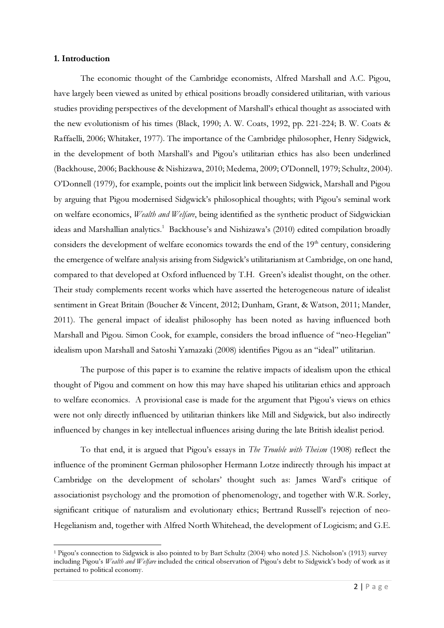#### 1. Introduction

 $\overline{a}$ 

The economic thought of the Cambridge economists, Alfred Marshall and A.C. Pigou, have largely been viewed as united by ethical positions broadly considered utilitarian, with various studies providing perspectives of the development of Marshall's ethical thought as associated with the new evolutionism of his times (Black, 1990; A. W. Coats, 1992, pp. 221-224; B. W. Coats & Raffaelli, 2006; Whitaker, 1977). The importance of the Cambridge philosopher, Henry Sidgwick, in the development of both Marshall's and Pigou's utilitarian ethics has also been underlined (Backhouse, 2006; Backhouse & Nishizawa, 2010; Medema, 2009; O'Donnell, 1979; Schultz, 2004). O'Donnell (1979), for example, points out the implicit link between Sidgwick, Marshall and Pigou by arguing that Pigou modernised Sidgwick's philosophical thoughts; with Pigou's seminal work on welfare economics, Wealth and Welfare, being identified as the synthetic product of Sidgwickian ideas and Marshallian analytics.<sup>1</sup> Backhouse's and Nishizawa's (2010) edited compilation broadly considers the development of welfare economics towards the end of the  $19<sup>th</sup>$  century, considering the emergence of welfare analysis arising from Sidgwick's utilitarianism at Cambridge, on one hand, compared to that developed at Oxford influenced by T.H. Green's idealist thought, on the other. Their study complements recent works which have asserted the heterogeneous nature of idealist sentiment in Great Britain (Boucher & Vincent, 2012; Dunham, Grant, & Watson, 2011; Mander, 2011). The general impact of idealist philosophy has been noted as having influenced both Marshall and Pigou. Simon Cook, for example, considers the broad influence of "neo-Hegelian" idealism upon Marshall and Satoshi Yamazaki (2008) identifies Pigou as an "ideal" utilitarian.

The purpose of this paper is to examine the relative impacts of idealism upon the ethical thought of Pigou and comment on how this may have shaped his utilitarian ethics and approach to welfare economics. A provisional case is made for the argument that Pigou's views on ethics were not only directly influenced by utilitarian thinkers like Mill and Sidgwick, but also indirectly influenced by changes in key intellectual influences arising during the late British idealist period.

To that end, it is argued that Pigou's essays in The Trouble with Theism (1908) reflect the influence of the prominent German philosopher Hermann Lotze indirectly through his impact at Cambridge on the development of scholars' thought such as: James Ward's critique of associationist psychology and the promotion of phenomenology, and together with W.R. Sorley, significant critique of naturalism and evolutionary ethics; Bertrand Russell's rejection of neo-Hegelianism and, together with Alfred North Whitehead, the development of Logicism; and G.E.

<sup>&</sup>lt;sup>1</sup> Pigou's connection to Sidgwick is also pointed to by Bart Schultz (2004) who noted J.S. Nicholson's (1913) survey including Pigou's Wealth and Welfare included the critical observation of Pigou's debt to Sidgwick's body of work as it pertained to political economy.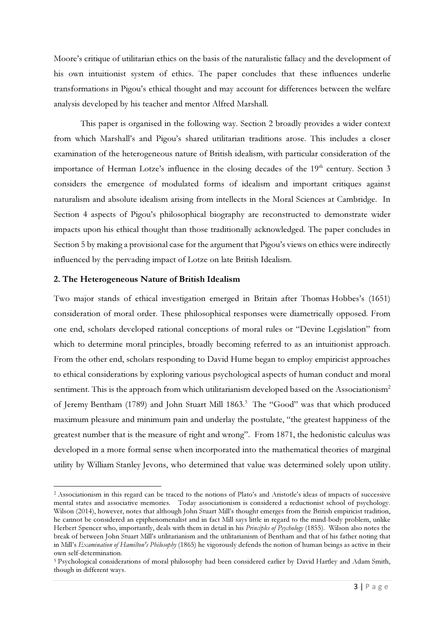Moore's critique of utilitarian ethics on the basis of the naturalistic fallacy and the development of his own intuitionist system of ethics. The paper concludes that these influences underlie transformations in Pigou's ethical thought and may account for differences between the welfare analysis developed by his teacher and mentor Alfred Marshall.

This paper is organised in the following way. Section 2 broadly provides a wider context from which Marshall's and Pigou's shared utilitarian traditions arose. This includes a closer examination of the heterogeneous nature of British idealism, with particular consideration of the importance of Herman Lotze's influence in the closing decades of the 19<sup>th</sup> century. Section 3 considers the emergence of modulated forms of idealism and important critiques against naturalism and absolute idealism arising from intellects in the Moral Sciences at Cambridge. In Section 4 aspects of Pigou's philosophical biography are reconstructed to demonstrate wider impacts upon his ethical thought than those traditionally acknowledged. The paper concludes in Section 5 by making a provisional case for the argument that Pigou's views on ethics were indirectly influenced by the pervading impact of Lotze on late British Idealism.

#### 2. The Heterogeneous Nature of British Idealism

l

Two major stands of ethical investigation emerged in Britain after Thomas Hobbes's (1651) consideration of moral order. These philosophical responses were diametrically opposed. From one end, scholars developed rational conceptions of moral rules or "Devine Legislation" from which to determine moral principles, broadly becoming referred to as an intuitionist approach. From the other end, scholars responding to David Hume began to employ empiricist approaches to ethical considerations by exploring various psychological aspects of human conduct and moral sentiment. This is the approach from which utilitarianism developed based on the Associationism<sup>2</sup> of Jeremy Bentham (1789) and John Stuart Mill 1863.<sup>3</sup> The "Good" was that which produced maximum pleasure and minimum pain and underlay the postulate, "the greatest happiness of the greatest number that is the measure of right and wrong". From 1871, the hedonistic calculus was developed in a more formal sense when incorporated into the mathematical theories of marginal utility by William Stanley Jevons, who determined that value was determined solely upon utility.

<sup>&</sup>lt;sup>2</sup> Associationism in this regard can be traced to the notions of Plato's and Aristotle's ideas of impacts of successive mental states and associative memories. Today associationism is considered a reductionist school of psychology. Wilson (2014), however, notes that although John Stuart Mill's thought emerges from the British empiricist tradition, he cannot be considered an epiphenomenalist and in fact Mill says little in regard to the mind-body problem, unlike Herbert Spencer who, importantly, deals with them in detail in his Principles of Psychology (1855). Wilson also notes the break of between John Stuart Mill's utilitarianism and the utilitarianism of Bentham and that of his father noting that in Mill's Examination of Hamilton's Philosophy (1865) he vigorously defends the notion of human beings as active in their own self-determination.

<sup>&</sup>lt;sup>3</sup> Psychological considerations of moral philosophy had been considered earlier by David Hartley and Adam Smith, though in different ways.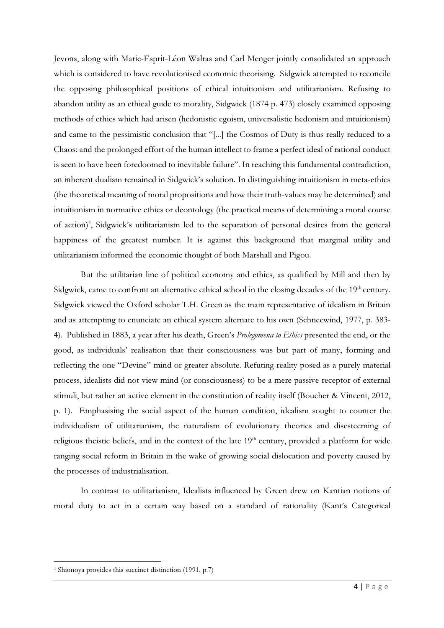Jevons, along with Marie-Esprit-Léon Walras and Carl Menger jointly consolidated an approach which is considered to have revolutionised economic theorising. Sidgwick attempted to reconcile the opposing philosophical positions of ethical intuitionism and utilitarianism. Refusing to abandon utility as an ethical guide to morality, Sidgwick (1874 p. 473) closely examined opposing methods of ethics which had arisen (hedonistic egoism, universalistic hedonism and intuitionism) and came to the pessimistic conclusion that "[...] the Cosmos of Duty is thus really reduced to a Chaos: and the prolonged effort of the human intellect to frame a perfect ideal of rational conduct is seen to have been foredoomed to inevitable failure". In reaching this fundamental contradiction, an inherent dualism remained in Sidgwick's solution. In distinguishing intuitionism in meta-ethics (the theoretical meaning of moral propositions and how their truth-values may be determined) and intuitionism in normative ethics or deontology (the practical means of determining a moral course of action)<sup>4</sup>, Sidgwick's utilitarianism led to the separation of personal desires from the general happiness of the greatest number. It is against this background that marginal utility and utilitarianism informed the economic thought of both Marshall and Pigou.

But the utilitarian line of political economy and ethics, as qualified by Mill and then by Sidgwick, came to confront an alternative ethical school in the closing decades of the 19<sup>th</sup> century. Sidgwick viewed the Oxford scholar T.H. Green as the main representative of idealism in Britain and as attempting to enunciate an ethical system alternate to his own (Schneewind, 1977, p. 383- 4). Published in 1883, a year after his death, Green's Prolegomena to Ethics presented the end, or the good, as individuals' realisation that their consciousness was but part of many, forming and reflecting the one "Devine" mind or greater absolute. Refuting reality posed as a purely material process, idealists did not view mind (or consciousness) to be a mere passive receptor of external stimuli, but rather an active element in the constitution of reality itself (Boucher & Vincent, 2012, p. 1). Emphasising the social aspect of the human condition, idealism sought to counter the individualism of utilitarianism, the naturalism of evolutionary theories and disesteeming of religious theistic beliefs, and in the context of the late 19<sup>th</sup> century, provided a platform for wide ranging social reform in Britain in the wake of growing social dislocation and poverty caused by the processes of industrialisation.

In contrast to utilitarianism, Idealists influenced by Green drew on Kantian notions of moral duty to act in a certain way based on a standard of rationality (Kant's Categorical

<sup>4</sup> Shionoya provides this succinct distinction (1991, p.7)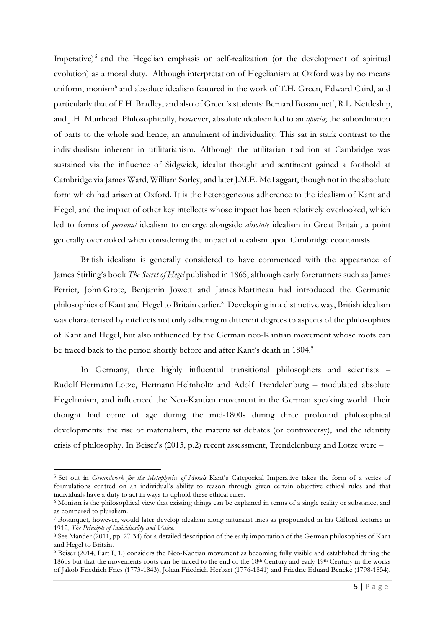Imperative)<sup>5</sup> and the Hegelian emphasis on self-realization (or the development of spiritual evolution) as a moral duty. Although interpretation of Hegelianism at Oxford was by no means uniform, monism<sup>6</sup> and absolute idealism featured in the work of T.H. Green, Edward Caird, and particularly that of F.H. Bradley, and also of Green's students: Bernard Bosanquet<sup>7</sup>, R.L. Nettleship, and J.H. Muirhead. Philosophically, however, absolute idealism led to an aporia; the subordination of parts to the whole and hence, an annulment of individuality. This sat in stark contrast to the individualism inherent in utilitarianism. Although the utilitarian tradition at Cambridge was sustained via the influence of Sidgwick, idealist thought and sentiment gained a foothold at Cambridge via James Ward, William Sorley, and later J.M.E. McTaggart, though not in the absolute form which had arisen at Oxford. It is the heterogeneous adherence to the idealism of Kant and Hegel, and the impact of other key intellects whose impact has been relatively overlooked, which led to forms of personal idealism to emerge alongside absolute idealism in Great Britain; a point generally overlooked when considering the impact of idealism upon Cambridge economists.

British idealism is generally considered to have commenced with the appearance of James Stirling's book The Secret of Hegel published in 1865, although early forerunners such as James Ferrier, John Grote, Benjamin Jowett and James Martineau had introduced the Germanic philosophies of Kant and Hegel to Britain earlier.<sup>8</sup> Developing in a distinctive way, British idealism was characterised by intellects not only adhering in different degrees to aspects of the philosophies of Kant and Hegel, but also influenced by the German neo-Kantian movement whose roots can be traced back to the period shortly before and after Kant's death in 1804.<sup>9</sup>

In Germany, three highly influential transitional philosophers and scientists – Rudolf Hermann Lotze, Hermann Helmholtz and Adolf Trendelenburg – modulated absolute Hegelianism, and influenced the Neo-Kantian movement in the German speaking world. Their thought had come of age during the mid-1800s during three profound philosophical developments: the rise of materialism, the materialist debates (or controversy), and the identity crisis of philosophy. In Beiser's (2013, p.2) recent assessment, Trendelenburg and Lotze were –

<sup>&</sup>lt;sup>5</sup> Set out in *Groundwork for the Metaphysics of Morals* Kant's Categorical Imperative takes the form of a series of formulations centred on an individual's ability to reason through given certain objective ethical rules and that individuals have a duty to act in ways to uphold these ethical rules.

<sup>&</sup>lt;sup>6</sup> Monism is the philosophical view that existing things can be explained in terms of a single reality or substance; and as compared to pluralism.

<sup>7</sup> Bosanquet, however, would later develop idealism along naturalist lines as propounded in his Gifford lectures in 1912, The Principle of Individuality and Value.

<sup>8</sup> See Mander (2011, pp. 27-34) for a detailed description of the early importation of the German philosophies of Kant and Hegel to Britain.

<sup>&</sup>lt;sup>9</sup> Beiser (2014, Part I, 1.) considers the Neo-Kantian movement as becoming fully visible and established during the 1860s but that the movements roots can be traced to the end of the 18th Century and early 19th Century in the works of Jakob Friedrich Fries (1773-1843), Johan Friedrich Herbart (1776-1841) and Friedric Eduard Beneke (1798-1854).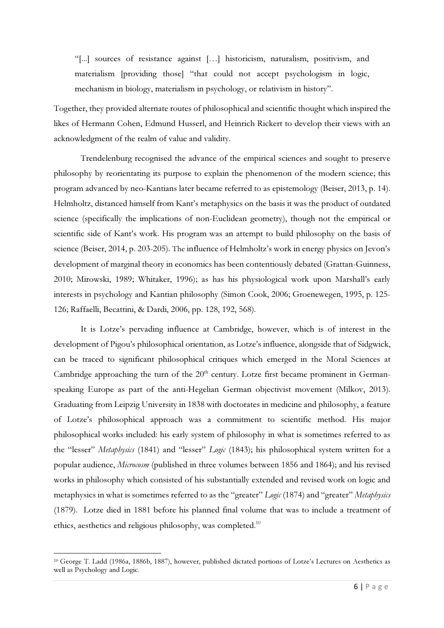"[...] sources of resistance against […] historicism, naturalism, positivism, and materialism [providing those] "that could not accept psychologism in logic, mechanism in biology, materialism in psychology, or relativism in history".

Together, they provided alternate routes of philosophical and scientific thought which inspired the likes of Hermann Cohen, Edmund Husserl, and Heinrich Rickert to develop their views with an acknowledgment of the realm of value and validity.

Trendelenburg recognised the advance of the empirical sciences and sought to preserve philosophy by reorientating its purpose to explain the phenomenon of the modern science; this program advanced by neo-Kantians later became referred to as epistemology (Beiser, 2013, p. 14). Helmholtz, distanced himself from Kant's metaphysics on the basis it was the product of outdated science (specifically the implications of non-Euclidean geometry), though not the empirical or scientific side of Kant's work. His program was an attempt to build philosophy on the basis of science (Beiser, 2014, p. 203-205). The influence of Helmholtz's work in energy physics on Jevon's development of marginal theory in economics has been contentiously debated (Grattan-Guinness, 2010; Mirowski, 1989; Whitaker, 1996); as has his physiological work upon Marshall's early interests in psychology and Kantian philosophy (Simon Cook, 2006; Groenewegen, 1995, p. 125- 126; Raffaelli, Becattini, & Dardi, 2006, pp. 128, 192, 568).

It is Lotze's pervading influence at Cambridge, however, which is of interest in the development of Pigou's philosophical orientation, as Lotze's influence, alongside that of Sidgwick, can be traced to significant philosophical critiques which emerged in the Moral Sciences at Cambridge approaching the turn of the  $20<sup>th</sup>$  century. Lotze first became prominent in Germanspeaking Europe as part of the anti-Hegelian German objectivist movement (Milkov, 2013). Graduating from Leipzig University in 1838 with doctorates in medicine and philosophy, a feature of Lotze's philosophical approach was a commitment to scientific method. His major philosophical works included: his early system of philosophy in what is sometimes referred to as the "lesser" *Metaphysics* (1841) and "lesser" *Logic* (1843); his philosophical system written for a popular audience, Microcosm (published in three volumes between 1856 and 1864); and his revised works in philosophy which consisted of his substantially extended and revised work on logic and metaphysics in what is sometimes referred to as the "greater" Logic (1874) and "greater" Metaphysics (1879). Lotze died in 1881 before his planned final volume that was to include a treatment of ethics, aesthetics and religious philosophy, was completed.<sup>10</sup>

<sup>10</sup> George T. Ladd (1986a, 1886b, 1887), however, published dictated portions of Lotze's Lectures on Aesthetics as well as Psychology and Logic.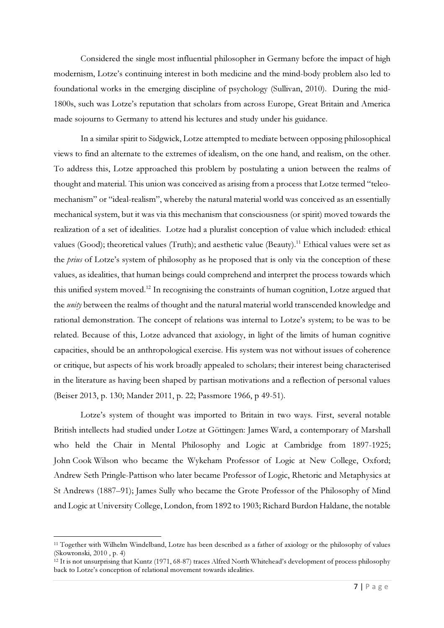Considered the single most influential philosopher in Germany before the impact of high modernism, Lotze's continuing interest in both medicine and the mind-body problem also led to foundational works in the emerging discipline of psychology (Sullivan, 2010). During the mid-1800s, such was Lotze's reputation that scholars from across Europe, Great Britain and America made sojourns to Germany to attend his lectures and study under his guidance.

In a similar spirit to Sidgwick, Lotze attempted to mediate between opposing philosophical views to find an alternate to the extremes of idealism, on the one hand, and realism, on the other. To address this, Lotze approached this problem by postulating a union between the realms of thought and material. This union was conceived as arising from a process that Lotze termed "teleomechanism" or "ideal-realism", whereby the natural material world was conceived as an essentially mechanical system, but it was via this mechanism that consciousness (or spirit) moved towards the realization of a set of idealities. Lotze had a pluralist conception of value which included: ethical values (Good); theoretical values (Truth); and aesthetic value (Beauty).<sup>11</sup> Ethical values were set as the prius of Lotze's system of philosophy as he proposed that is only via the conception of these values, as idealities, that human beings could comprehend and interpret the process towards which this unified system moved.<sup>12</sup> In recognising the constraints of human cognition, Lotze argued that the *unity* between the realms of thought and the natural material world transcended knowledge and rational demonstration. The concept of relations was internal to Lotze's system; to be was to be related. Because of this, Lotze advanced that axiology, in light of the limits of human cognitive capacities, should be an anthropological exercise. His system was not without issues of coherence or critique, but aspects of his work broadly appealed to scholars; their interest being characterised in the literature as having been shaped by partisan motivations and a reflection of personal values (Beiser 2013, p. 130; Mander 2011, p. 22; Passmore 1966, p 49-51).

Lotze's system of thought was imported to Britain in two ways. First, several notable British intellects had studied under Lotze at Göttingen: James Ward, a contemporary of Marshall who held the Chair in Mental Philosophy and Logic at Cambridge from 1897-1925; John Cook Wilson who became the Wykeham Professor of Logic at New College, Oxford; Andrew Seth Pringle-Pattison who later became Professor of Logic, Rhetoric and Metaphysics at St Andrews (1887–91); James Sully who became the Grote Professor of the Philosophy of Mind and Logic at University College, London, from 1892 to 1903; Richard Burdon Haldane, the notable

<sup>11</sup> Together with Wilhelm Windelband, Lotze has been described as a father of axiology or the philosophy of values (Skowronski, 2010 , p. 4)

 $12$  It is not unsurprising that Kuntz (1971, 68-87) traces Alfred North Whitehead's development of process philosophy back to Lotze's conception of relational movement towards idealities.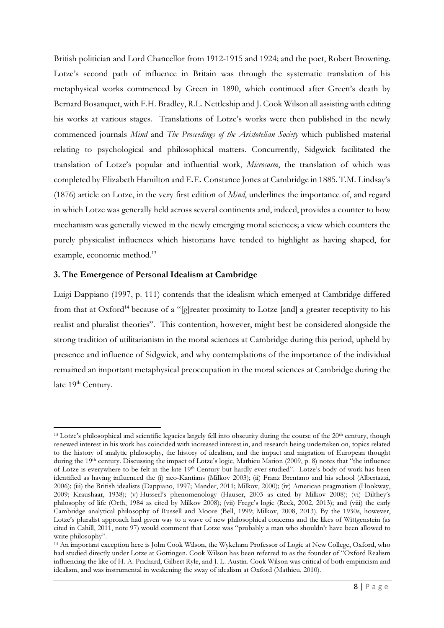British politician and Lord Chancellor from 1912-1915 and 1924; and the poet, Robert Browning. Lotze's second path of influence in Britain was through the systematic translation of his metaphysical works commenced by Green in 1890, which continued after Green's death by Bernard Bosanquet, with F.H. Bradley, R.L. Nettleship and J. Cook Wilson all assisting with editing his works at various stages. Translations of Lotze's works were then published in the newly commenced journals Mind and The Proceedings of the Aristotelian Society which published material relating to psychological and philosophical matters. Concurrently, Sidgwick facilitated the translation of Lotze's popular and influential work, Microcosm, the translation of which was completed by Elizabeth Hamilton and E.E. Constance Jones at Cambridge in 1885. T.M. Lindsay's (1876) article on Lotze, in the very first edition of Mind, underlines the importance of, and regard in which Lotze was generally held across several continents and, indeed, provides a counter to how mechanism was generally viewed in the newly emerging moral sciences; a view which counters the purely physicalist influences which historians have tended to highlight as having shaped, for example, economic method.<sup>13</sup>

#### 3. The Emergence of Personal Idealism at Cambridge

l

Luigi Dappiano (1997, p. 111) contends that the idealism which emerged at Cambridge differed from that at Oxford<sup>14</sup> because of a "[g]reater proximity to Lotze [and] a greater receptivity to his realist and pluralist theories". This contention, however, might best be considered alongside the strong tradition of utilitarianism in the moral sciences at Cambridge during this period, upheld by presence and influence of Sidgwick, and why contemplations of the importance of the individual remained an important metaphysical preoccupation in the moral sciences at Cambridge during the late 19<sup>th</sup> Century.

<sup>&</sup>lt;sup>13</sup> Lotze's philosophical and scientific legacies largely fell into obscurity during the course of the 20<sup>th</sup> century, though renewed interest in his work has coincided with increased interest in, and research being undertaken on, topics related to the history of analytic philosophy, the history of idealism, and the impact and migration of European thought during the 19<sup>th</sup> century. Discussing the impact of Lotze's logic, Mathieu Marion (2009, p. 8) notes that "the influence of Lotze is everywhere to be felt in the late 19th Century but hardly ever studied". Lotze's body of work has been identified as having influenced the (i) neo-Kantians (Milkov 2003); (ii) Franz Brentano and his school (Albertazzi, 2006); (iii) the British idealists (Dappiano, 1997; Mander, 2011; Milkov, 2000); (iv) American pragmatism (Hookway, 2009; Kraushaar, 1938); (v) Husserl's phenomenology (Hauser, 2003 as cited by Milkov 2008); (vi) Dilthey's philosophy of life (Orth, 1984 as cited by Milkov 2008); (vii) Frege's logic (Reck, 2002, 2013); and (viii) the early Cambridge analytical philosophy of Russell and Moore (Bell, 1999; Milkov, 2008, 2013). By the 1930s, however, Lotze's pluralist approach had given way to a wave of new philosophical concerns and the likes of Wittgenstein (as cited in Cahill, 2011, note 97) would comment that Lotze was "probably a man who shouldn't have been allowed to write philosophy".

<sup>14</sup> An important exception here is John Cook Wilson, the Wykeham Professor of Logic at New College, Oxford, who had studied directly under Lotze at Gottingen. Cook Wilson has been referred to as the founder of "Oxford Realism influencing the like of H. A. Prichard, Gilbert Ryle, and J. L. Austin. Cook Wilson was critical of both empiricism and idealism, and was instrumental in weakening the sway of idealism at Oxford (Mathieu, 2010).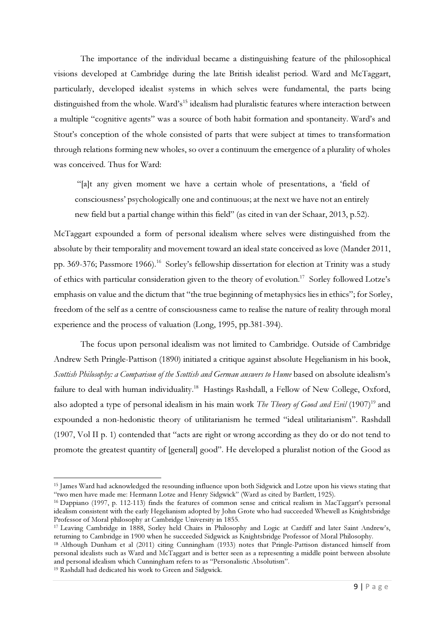The importance of the individual became a distinguishing feature of the philosophical visions developed at Cambridge during the late British idealist period. Ward and McTaggart, particularly, developed idealist systems in which selves were fundamental, the parts being distinguished from the whole. Ward's<sup>15</sup> idealism had pluralistic features where interaction between a multiple "cognitive agents" was a source of both habit formation and spontaneity. Ward's and Stout's conception of the whole consisted of parts that were subject at times to transformation through relations forming new wholes, so over a continuum the emergence of a plurality of wholes was conceived. Thus for Ward:

 "[a]t any given moment we have a certain whole of presentations, a 'field of consciousness' psychologically one and continuous; at the next we have not an entirely new field but a partial change within this field" (as cited in van der Schaar, 2013, p.52).

McTaggart expounded a form of personal idealism where selves were distinguished from the absolute by their temporality and movement toward an ideal state conceived as love (Mander 2011, pp. 369-376; Passmore 1966).<sup>16</sup> Sorley's fellowship dissertation for election at Trinity was a study of ethics with particular consideration given to the theory of evolution.<sup>17</sup> Sorley followed Lotze's emphasis on value and the dictum that "the true beginning of metaphysics lies in ethics"; for Sorley, freedom of the self as a centre of consciousness came to realise the nature of reality through moral experience and the process of valuation (Long, 1995, pp.381-394).

The focus upon personal idealism was not limited to Cambridge. Outside of Cambridge Andrew Seth Pringle-Pattison (1890) initiated a critique against absolute Hegelianism in his book, Scottish Philosophy: a Comparison of the Scottish and German answers to Hume based on absolute idealism's failure to deal with human individuality.<sup>18</sup> Hastings Rashdall, a Fellow of New College, Oxford, also adopted a type of personal idealism in his main work The Theory of Good and Evil (1907)<sup>19</sup> and expounded a non-hedonistic theory of utilitarianism he termed "ideal utilitarianism". Rashdall (1907, Vol II p. 1) contended that "acts are right or wrong according as they do or do not tend to promote the greatest quantity of [general] good". He developed a pluralist notion of the Good as

<sup>19</sup> Rashdall had dedicated his work to Green and Sidgwick.

<sup>15</sup> James Ward had acknowledged the resounding influence upon both Sidgwick and Lotze upon his views stating that "two men have made me: Hermann Lotze and Henry Sidgwick" (Ward as cited by Bartlett, 1925).

<sup>16</sup> Dappiano (1997, p. 112-113) finds the features of common sense and critical realism in MacTaggart's personal idealism consistent with the early Hegelianism adopted by John Grote who had succeeded Whewell as Knightsbridge Professor of Moral philosophy at Cambridge University in 1855.

<sup>17</sup> Leaving Cambridge in 1888, Sorley held Chairs in Philosophy and Logic at Cardiff and later Saint Andrew's, returning to Cambridge in 1900 when he succeeded Sidgwick as Knightsbridge Professor of Moral Philosophy.

<sup>18</sup> Although Dunham et al (2011) citing Cunningham (1933) notes that Pringle-Pattison distanced himself from personal idealists such as Ward and McTaggart and is better seen as a representing a middle point between absolute and personal idealism which Cunningham refers to as "Personalistic Absolutism".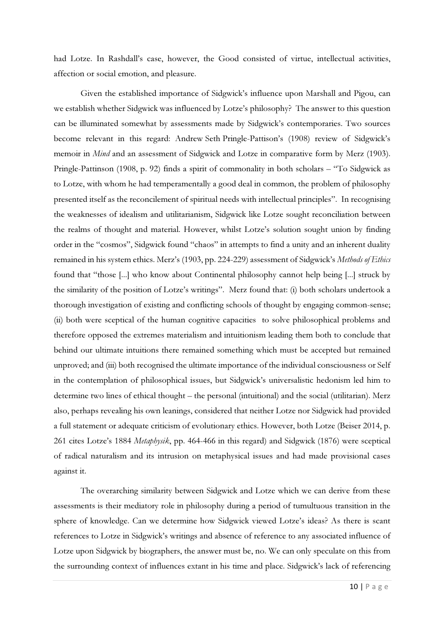had Lotze. In Rashdall's case, however, the Good consisted of virtue, intellectual activities, affection or social emotion, and pleasure.

Given the established importance of Sidgwick's influence upon Marshall and Pigou, can we establish whether Sidgwick was influenced by Lotze's philosophy? The answer to this question can be illuminated somewhat by assessments made by Sidgwick's contemporaries. Two sources become relevant in this regard: Andrew Seth Pringle-Pattison's (1908) review of Sidgwick's memoir in *Mind* and an assessment of Sidgwick and Lotze in comparative form by Merz (1903). Pringle-Pattinson (1908, p. 92) finds a spirit of commonality in both scholars – "To Sidgwick as to Lotze, with whom he had temperamentally a good deal in common, the problem of philosophy presented itself as the reconcilement of spiritual needs with intellectual principles". In recognising the weaknesses of idealism and utilitarianism, Sidgwick like Lotze sought reconciliation between the realms of thought and material. However, whilst Lotze's solution sought union by finding order in the "cosmos", Sidgwick found "chaos" in attempts to find a unity and an inherent duality remained in his system ethics. Merz's (1903, pp. 224-229) assessment of Sidgwick's Methods of Ethics found that "those [...] who know about Continental philosophy cannot help being [...] struck by the similarity of the position of Lotze's writings". Merz found that: (i) both scholars undertook a thorough investigation of existing and conflicting schools of thought by engaging common-sense; (ii) both were sceptical of the human cognitive capacities to solve philosophical problems and therefore opposed the extremes materialism and intuitionism leading them both to conclude that behind our ultimate intuitions there remained something which must be accepted but remained unproved; and (iii) both recognised the ultimate importance of the individual consciousness or Self in the contemplation of philosophical issues, but Sidgwick's universalistic hedonism led him to determine two lines of ethical thought – the personal (intuitional) and the social (utilitarian). Merz also, perhaps revealing his own leanings, considered that neither Lotze nor Sidgwick had provided a full statement or adequate criticism of evolutionary ethics. However, both Lotze (Beiser 2014, p. 261 cites Lotze's 1884 Metaphysik, pp. 464-466 in this regard) and Sidgwick (1876) were sceptical of radical naturalism and its intrusion on metaphysical issues and had made provisional cases against it.

The overarching similarity between Sidgwick and Lotze which we can derive from these assessments is their mediatory role in philosophy during a period of tumultuous transition in the sphere of knowledge. Can we determine how Sidgwick viewed Lotze's ideas? As there is scant references to Lotze in Sidgwick's writings and absence of reference to any associated influence of Lotze upon Sidgwick by biographers, the answer must be, no. We can only speculate on this from the surrounding context of influences extant in his time and place. Sidgwick's lack of referencing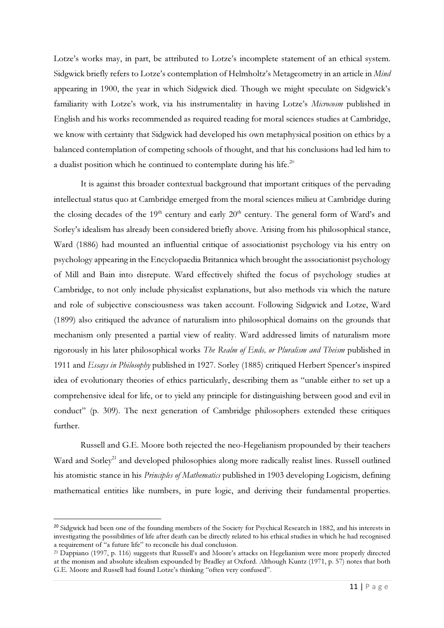Lotze's works may, in part, be attributed to Lotze's incomplete statement of an ethical system. Sidgwick briefly refers to Lotze's contemplation of Helmholtz's Metageometry in an article in Mind appearing in 1900, the year in which Sidgwick died. Though we might speculate on Sidgwick's familiarity with Lotze's work, via his instrumentality in having Lotze's Microcosm published in English and his works recommended as required reading for moral sciences studies at Cambridge, we know with certainty that Sidgwick had developed his own metaphysical position on ethics by a balanced contemplation of competing schools of thought, and that his conclusions had led him to a dualist position which he continued to contemplate during his life. $^{20}$ 

It is against this broader contextual background that important critiques of the pervading intellectual status quo at Cambridge emerged from the moral sciences milieu at Cambridge during the closing decades of the  $19<sup>th</sup>$  century and early  $20<sup>th</sup>$  century. The general form of Ward's and Sorley's idealism has already been considered briefly above. Arising from his philosophical stance, Ward (1886) had mounted an influential critique of associationist psychology via his entry on psychology appearing in the Encyclopaedia Britannica which brought the associationist psychology of Mill and Bain into disrepute. Ward effectively shifted the focus of psychology studies at Cambridge, to not only include physicalist explanations, but also methods via which the nature and role of subjective consciousness was taken account. Following Sidgwick and Lotze, Ward (1899) also critiqued the advance of naturalism into philosophical domains on the grounds that mechanism only presented a partial view of reality. Ward addressed limits of naturalism more rigorously in his later philosophical works The Realm of Ends, or Pluralism and Theism published in 1911 and Essays in Philosophy published in 1927. Sorley (1885) critiqued Herbert Spencer's inspired idea of evolutionary theories of ethics particularly, describing them as "unable either to set up a comprehensive ideal for life, or to yield any principle for distinguishing between good and evil in conduct" (p. 309). The next generation of Cambridge philosophers extended these critiques further.

Russell and G.E. Moore both rejected the neo-Hegelianism propounded by their teachers Ward and Sorley<sup>21</sup> and developed philosophies along more radically realist lines. Russell outlined his atomistic stance in his *Principles of Mathematics* published in 1903 developing Logicism, defining mathematical entities like numbers, in pure logic, and deriving their fundamental properties.

 $\overline{a}$ 

<sup>&</sup>lt;sup>20</sup> Sidgwick had been one of the founding members of the Society for Psychical Research in 1882, and his interests in investigating the possibilities of life after death can be directly related to his ethical studies in which he had recognised a requirement of "a future life" to reconcile his dual conclusion.

<sup>21</sup> Dappiano (1997, p. 116) suggests that Russell's and Moore's attacks on Hegelianism were more properly directed at the monism and absolute idealism expounded by Bradley at Oxford. Although Kuntz (1971, p. 57) notes that both G.E. Moore and Russell had found Lotze's thinking "often very confused".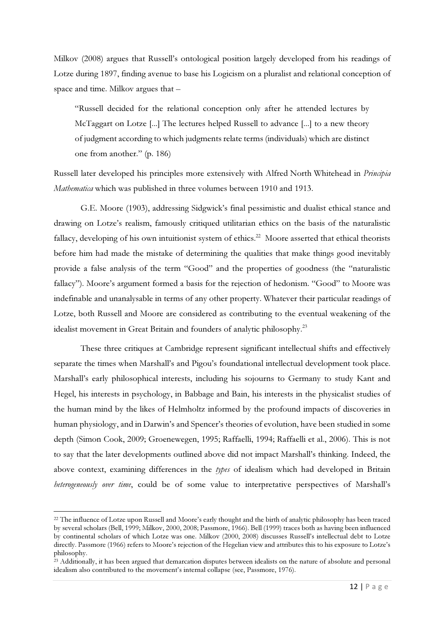Milkov (2008) argues that Russell's ontological position largely developed from his readings of Lotze during 1897, finding avenue to base his Logicism on a pluralist and relational conception of space and time. Milkov argues that –

"Russell decided for the relational conception only after he attended lectures by McTaggart on Lotze [...] The lectures helped Russell to advance [...] to a new theory of judgment according to which judgments relate terms (individuals) which are distinct one from another." (p. 186)

Russell later developed his principles more extensively with Alfred North Whitehead in Principia Mathematica which was published in three volumes between 1910 and 1913.

G.E. Moore (1903), addressing Sidgwick's final pessimistic and dualist ethical stance and drawing on Lotze's realism, famously critiqued utilitarian ethics on the basis of the naturalistic fallacy, developing of his own intuitionist system of ethics.<sup>22</sup> Moore asserted that ethical theorists before him had made the mistake of determining the qualities that make things good inevitably provide a false analysis of the term "Good" and the properties of goodness (the "naturalistic fallacy"). Moore's argument formed a basis for the rejection of hedonism. "Good" to Moore was indefinable and unanalysable in terms of any other property. Whatever their particular readings of Lotze, both Russell and Moore are considered as contributing to the eventual weakening of the idealist movement in Great Britain and founders of analytic philosophy.<sup>23</sup>

These three critiques at Cambridge represent significant intellectual shifts and effectively separate the times when Marshall's and Pigou's foundational intellectual development took place. Marshall's early philosophical interests, including his sojourns to Germany to study Kant and Hegel, his interests in psychology, in Babbage and Bain, his interests in the physicalist studies of the human mind by the likes of Helmholtz informed by the profound impacts of discoveries in human physiology, and in Darwin's and Spencer's theories of evolution, have been studied in some depth (Simon Cook, 2009; Groenewegen, 1995; Raffaelli, 1994; Raffaelli et al., 2006). This is not to say that the later developments outlined above did not impact Marshall's thinking. Indeed, the above context, examining differences in the types of idealism which had developed in Britain heterogeneously over time, could be of some value to interpretative perspectives of Marshall's

<sup>&</sup>lt;sup>22</sup> The influence of Lotze upon Russell and Moore's early thought and the birth of analytic philosophy has been traced by several scholars (Bell, 1999; Milkov, 2000, 2008; Passmore, 1966). Bell (1999) traces both as having been influenced by continental scholars of which Lotze was one. Milkov (2000, 2008) discusses Russell's intellectual debt to Lotze directly. Passmore (1966) refers to Moore's rejection of the Hegelian view and attributes this to his exposure to Lotze's philosophy.

<sup>&</sup>lt;sup>23</sup> Additionally, it has been argued that demarcation disputes between idealists on the nature of absolute and personal idealism also contributed to the movement's internal collapse (see, Passmore, 1976).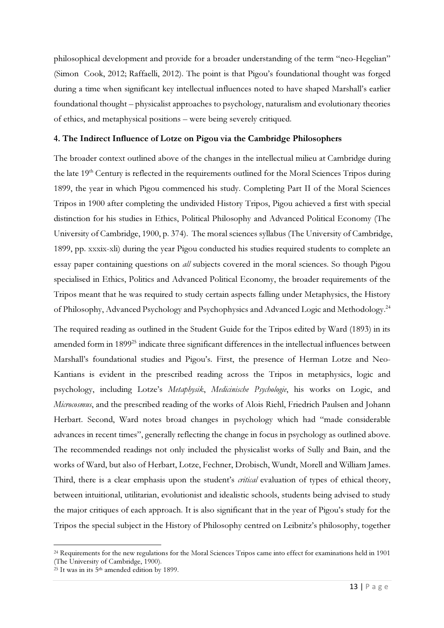philosophical development and provide for a broader understanding of the term "neo-Hegelian" (Simon Cook, 2012; Raffaelli, 2012). The point is that Pigou's foundational thought was forged during a time when significant key intellectual influences noted to have shaped Marshall's earlier foundational thought – physicalist approaches to psychology, naturalism and evolutionary theories of ethics, and metaphysical positions – were being severely critiqued.

#### 4. The Indirect Influence of Lotze on Pigou via the Cambridge Philosophers

The broader context outlined above of the changes in the intellectual milieu at Cambridge during the late  $19<sup>th</sup>$  Century is reflected in the requirements outlined for the Moral Sciences Tripos during 1899, the year in which Pigou commenced his study. Completing Part II of the Moral Sciences Tripos in 1900 after completing the undivided History Tripos, Pigou achieved a first with special distinction for his studies in Ethics, Political Philosophy and Advanced Political Economy (The University of Cambridge, 1900, p. 374). The moral sciences syllabus (The University of Cambridge, 1899, pp. xxxix-xli) during the year Pigou conducted his studies required students to complete an essay paper containing questions on all subjects covered in the moral sciences. So though Pigou specialised in Ethics, Politics and Advanced Political Economy, the broader requirements of the Tripos meant that he was required to study certain aspects falling under Metaphysics, the History of Philosophy, Advanced Psychology and Psychophysics and Advanced Logic and Methodology.<sup>24</sup>

The required reading as outlined in the Student Guide for the Tripos edited by Ward (1893) in its amended form in 1899<sup>25</sup> indicate three significant differences in the intellectual influences between Marshall's foundational studies and Pigou's. First, the presence of Herman Lotze and Neo-Kantians is evident in the prescribed reading across the Tripos in metaphysics, logic and psychology, including Lotze's Metaphysik, Medicinische Psychologie, his works on Logic, and Microcosmus, and the prescribed reading of the works of Alois Riehl, Friedrich Paulsen and Johann Herbart. Second, Ward notes broad changes in psychology which had "made considerable advances in recent times", generally reflecting the change in focus in psychology as outlined above. The recommended readings not only included the physicalist works of Sully and Bain, and the works of Ward, but also of Herbart, Lotze, Fechner, Drobisch, Wundt, Morell and William James. Third, there is a clear emphasis upon the student's *critical* evaluation of types of ethical theory, between intuitional, utilitarian, evolutionist and idealistic schools, students being advised to study the major critiques of each approach. It is also significant that in the year of Pigou's study for the Tripos the special subject in the History of Philosophy centred on Leibnitz's philosophy, together

 $\overline{a}$ 

<sup>&</sup>lt;sup>24</sup> Requirements for the new regulations for the Moral Sciences Tripos came into effect for examinations held in 1901 (The University of Cambridge, 1900).

 $25$  It was in its  $5<sup>th</sup>$  amended edition by 1899.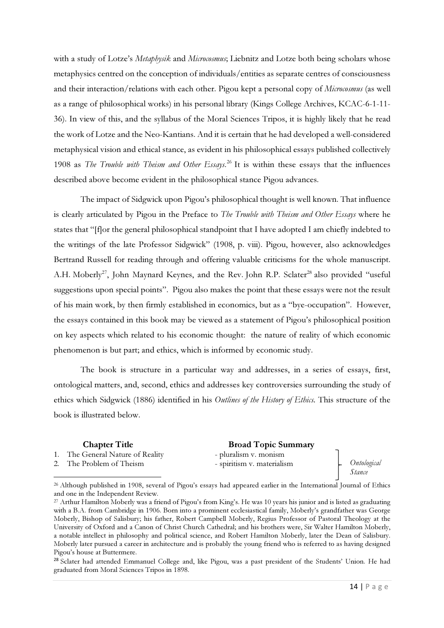with a study of Lotze's Metaphysik and Microcosmus; Liebnitz and Lotze both being scholars whose metaphysics centred on the conception of individuals/entities as separate centres of consciousness and their interaction/relations with each other. Pigou kept a personal copy of Microcosmus (as well as a range of philosophical works) in his personal library (Kings College Archives, KCAC-6-1-11- 36). In view of this, and the syllabus of the Moral Sciences Tripos, it is highly likely that he read the work of Lotze and the Neo-Kantians. And it is certain that he had developed a well-considered metaphysical vision and ethical stance, as evident in his philosophical essays published collectively 1908 as The Trouble with Theism and Other Essays.<sup>26</sup> It is within these essays that the influences described above become evident in the philosophical stance Pigou advances.

The impact of Sidgwick upon Pigou's philosophical thought is well known. That influence is clearly articulated by Pigou in the Preface to The Trouble with Theism and Other Essays where he states that "[f]or the general philosophical standpoint that I have adopted I am chiefly indebted to the writings of the late Professor Sidgwick" (1908, p. viii). Pigou, however, also acknowledges Bertrand Russell for reading through and offering valuable criticisms for the whole manuscript. A.H. Moberly<sup>27</sup>, John Maynard Keynes, and the Rev. John R.P. Sclater<sup>28</sup> also provided "useful suggestions upon special points". Pigou also makes the point that these essays were not the result of his main work, by then firmly established in economics, but as a "bye-occupation". However, the essays contained in this book may be viewed as a statement of Pigou's philosophical position on key aspects which related to his economic thought: the nature of reality of which economic phenomenon is but part; and ethics, which is informed by economic study.

The book is structure in a particular way and addresses, in a series of essays, first, ontological matters, and, second, ethics and addresses key controversies surrounding the study of ethics which Sidgwick (1886) identified in his Outlines of the History of Ethics. This structure of the book is illustrated below.

1. The General Nature of Reality - pluralism v. monism

2. The Problem of Theism - spiritism v. materialism

 $\overline{a}$ 

# **Chapter Title Broad Topic Summary**

Ontological Stance

<sup>26</sup> Although published in 1908, several of Pigou's essays had appeared earlier in the International Journal of Ethics and one in the Independent Review.

<sup>&</sup>lt;sup>27</sup> Arthur Hamilton Moberly was a friend of Pigou's from King's. He was 10 years his junior and is listed as graduating with a B.A. from Cambridge in 1906. Born into a prominent ecclesiastical family, Moberly's grandfather was George Moberly, Bishop of Salisbury; his father, Robert Campbell Moberly, Regius Professor of Pastoral Theology at the University of Oxford and a Canon of Christ Church Cathedral; and his brothers were, Sir Walter Hamilton Moberly, a notable intellect in philosophy and political science, and Robert Hamilton Moberly, later the Dean of Salisbury. Moberly later pursued a career in architecture and is probably the young friend who is referred to as having designed Pigou's house at Buttermere.

<sup>&</sup>lt;sup>28</sup> Sclater had attended Emmanuel College and, like Pigou, was a past president of the Students' Union. He had graduated from Moral Sciences Tripos in 1898.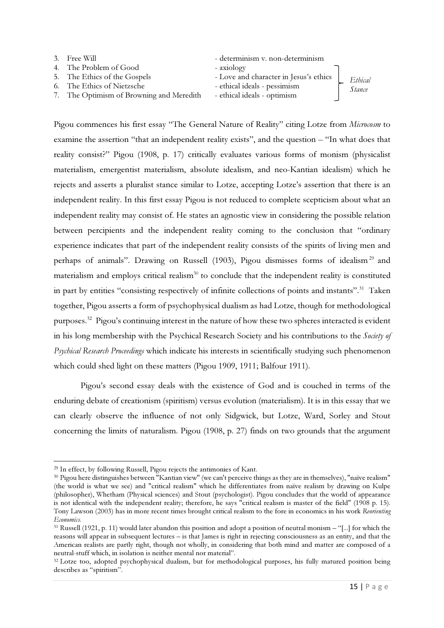| 3. Free Will                             | - determinism v. non-determinism       |         |
|------------------------------------------|----------------------------------------|---------|
| 4. The Problem of Good                   | - axiology                             |         |
| 5. The Ethics of the Gospels             | - Love and character in Jesus's ethics | Ethical |
| 6. The Ethics of Nietzsche               | - ethical ideals - pessimism           | Stance  |
| 7. The Optimism of Browning and Meredith | - ethical ideals - optimism            |         |

Pigou commences his first essay "The General Nature of Reality" citing Lotze from Microcosm to examine the assertion "that an independent reality exists", and the question – "In what does that reality consist?" Pigou (1908, p. 17) critically evaluates various forms of monism (physicalist materialism, emergentist materialism, absolute idealism, and neo-Kantian idealism) which he rejects and asserts a pluralist stance similar to Lotze, accepting Lotze's assertion that there is an independent reality. In this first essay Pigou is not reduced to complete scepticism about what an independent reality may consist of. He states an agnostic view in considering the possible relation between percipients and the independent reality coming to the conclusion that "ordinary experience indicates that part of the independent reality consists of the spirits of living men and perhaps of animals". Drawing on Russell (1903), Pigou dismisses forms of idealism<sup>29</sup> and materialism and employs critical realism $30$  to conclude that the independent reality is constituted in part by entities "consisting respectively of infinite collections of points and instants".<sup>31</sup> Taken together, Pigou asserts a form of psychophysical dualism as had Lotze, though for methodological purposes.<sup>32</sup> Pigou's continuing interest in the nature of how these two spheres interacted is evident in his long membership with the Psychical Research Society and his contributions to the Society of Psychical Research Proceedings which indicate his interests in scientifically studying such phenomenon which could shed light on these matters (Pigou 1909, 1911; Balfour 1911).

Pigou's second essay deals with the existence of God and is couched in terms of the enduring debate of creationism (spiritism) versus evolution (materialism). It is in this essay that we can clearly observe the influence of not only Sidgwick, but Lotze, Ward, Sorley and Stout concerning the limits of naturalism. Pigou (1908, p. 27) finds on two grounds that the argument

<sup>29</sup> In effect, by following Russell, Pigou rejects the antimonies of Kant.

<sup>30</sup> Pigou here distinguishes between "Kantian view" (we can't perceive things as they are in themselves), "naïve realism" (the world is what we see) and "critical realism" which he differentiates from naïve realism by drawing on Kulpe (philosopher), Whetham (Physical sciences) and Stout (psychologist). Pigou concludes that the world of appearance is not identical with the independent reality; therefore, he says "critical realism is master of the field" (1908 p. 15). Tony Lawson (2003) has in more recent times brought critical realism to the fore in economics in his work Reorienting Economics.

<sup>31</sup> Russell (1921, p. 11) would later abandon this position and adopt a position of neutral monism – "[...] for which the reasons will appear in subsequent lectures – is that James is right in rejecting consciousness as an entity, and that the American realists are partly right, though not wholly, in considering that both mind and matter are composed of a neutral-stuff which, in isolation is neither mental nor material".

<sup>&</sup>lt;sup>32</sup> Lotze too, adopted psychophysical dualism, but for methodological purposes, his fully matured position being describes as "spiritism".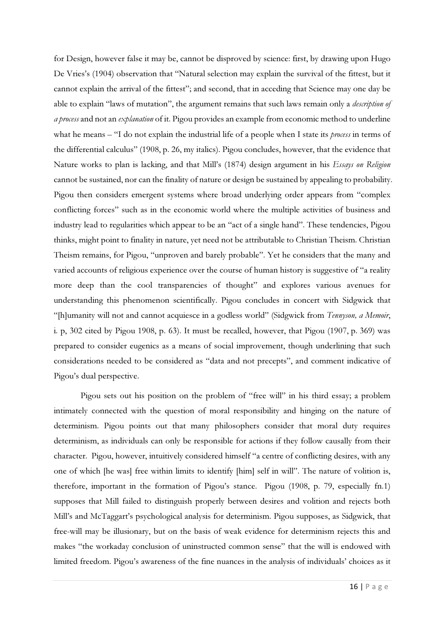for Design, however false it may be, cannot be disproved by science: first, by drawing upon Hugo De Vries's (1904) observation that "Natural selection may explain the survival of the fittest, but it cannot explain the arrival of the fittest"; and second, that in acceding that Science may one day be able to explain "laws of mutation", the argument remains that such laws remain only a *description of* a process and not an explanation of it. Pigou provides an example from economic method to underline what he means – "I do not explain the industrial life of a people when I state its *process* in terms of the differential calculus" (1908, p. 26, my italics). Pigou concludes, however, that the evidence that Nature works to plan is lacking, and that Mill's (1874) design argument in his Essays on Religion cannot be sustained, nor can the finality of nature or design be sustained by appealing to probability. Pigou then considers emergent systems where broad underlying order appears from "complex conflicting forces" such as in the economic world where the multiple activities of business and industry lead to regularities which appear to be an "act of a single hand". These tendencies, Pigou thinks, might point to finality in nature, yet need not be attributable to Christian Theism. Christian Theism remains, for Pigou, "unproven and barely probable". Yet he considers that the many and varied accounts of religious experience over the course of human history is suggestive of "a reality more deep than the cool transparencies of thought" and explores various avenues for understanding this phenomenon scientifically. Pigou concludes in concert with Sidgwick that "[h]umanity will not and cannot acquiesce in a godless world" (Sidgwick from Tennyson, a Memoir, i. p, 302 cited by Pigou 1908, p. 63). It must be recalled, however, that Pigou (1907, p. 369) was prepared to consider eugenics as a means of social improvement, though underlining that such considerations needed to be considered as "data and not precepts", and comment indicative of Pigou's dual perspective.

Pigou sets out his position on the problem of "free will" in his third essay; a problem intimately connected with the question of moral responsibility and hinging on the nature of determinism. Pigou points out that many philosophers consider that moral duty requires determinism, as individuals can only be responsible for actions if they follow causally from their character. Pigou, however, intuitively considered himself "a centre of conflicting desires, with any one of which [he was] free within limits to identify [him] self in will". The nature of volition is, therefore, important in the formation of Pigou's stance. Pigou (1908, p. 79, especially fn.1) supposes that Mill failed to distinguish properly between desires and volition and rejects both Mill's and McTaggart's psychological analysis for determinism. Pigou supposes, as Sidgwick, that free-will may be illusionary, but on the basis of weak evidence for determinism rejects this and makes "the workaday conclusion of uninstructed common sense" that the will is endowed with limited freedom. Pigou's awareness of the fine nuances in the analysis of individuals' choices as it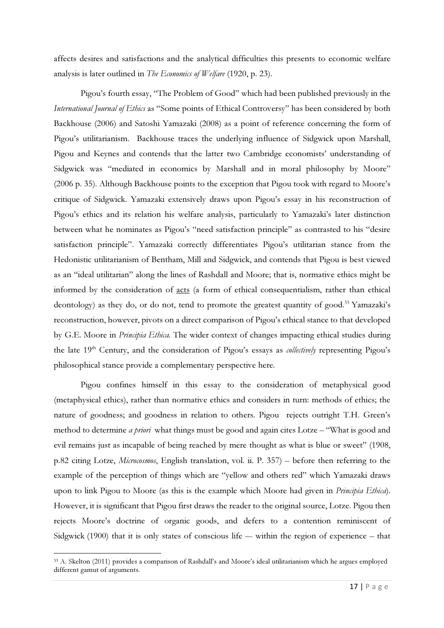affects desires and satisfactions and the analytical difficulties this presents to economic welfare analysis is later outlined in The Economics of Welfare (1920, p. 23).

Pigou's fourth essay, "The Problem of Good" which had been published previously in the International Journal of Ethics as "Some points of Ethical Controversy" has been considered by both Backhouse (2006) and Satoshi Yamazaki (2008) as a point of reference concerning the form of Pigou's utilitarianism. Backhouse traces the underlying influence of Sidgwick upon Marshall, Pigou and Keynes and contends that the latter two Cambridge economists' understanding of Sidgwick was "mediated in economics by Marshall and in moral philosophy by Moore" (2006 p. 35). Although Backhouse points to the exception that Pigou took with regard to Moore's critique of Sidgwick. Yamazaki extensively draws upon Pigou's essay in his reconstruction of Pigou's ethics and its relation his welfare analysis, particularly to Yamazaki's later distinction between what he nominates as Pigou's "need satisfaction principle" as contrasted to his "desire satisfaction principle". Yamazaki correctly differentiates Pigou's utilitarian stance from the Hedonistic utilitarianism of Bentham, Mill and Sidgwick, and contends that Pigou is best viewed as an "ideal utilitarian" along the lines of Rashdall and Moore; that is, normative ethics might be informed by the consideration of acts (a form of ethical consequentialism, rather than ethical deontology) as they do, or do not, tend to promote the greatest quantity of good.<sup>33</sup> Yamazaki's reconstruction, however, pivots on a direct comparison of Pigou's ethical stance to that developed by G.E. Moore in Principia Ethica. The wider context of changes impacting ethical studies during the late 19<sup>th</sup> Century, and the consideration of Pigou's essays as *collectively* representing Pigou's philosophical stance provide a complementary perspective here.

Pigou confines himself in this essay to the consideration of metaphysical good (metaphysical ethics), rather than normative ethics and considers in turn: methods of ethics; the nature of goodness; and goodness in relation to others. Pigou rejects outright T.H. Green's method to determine *a priori* what things must be good and again cites Lotze – "What is good and evil remains just as incapable of being reached by mere thought as what is blue or sweet" (1908, p.82 citing Lotze, Microcosmos, English translation, vol. ii. P. 357) – before then referring to the example of the perception of things which are "yellow and others red" which Yamazaki draws upon to link Pigou to Moore (as this is the example which Moore had given in *Principia Ethica*). However, it is significant that Pigou first draws the reader to the original source, Lotze. Pigou then rejects Moore's doctrine of organic goods, and defers to a contention reminiscent of Sidgwick (1900) that it is only states of conscious life –- within the region of experience – that

<sup>33</sup> A. Skelton (2011) provides a comparison of Rashdall's and Moore's ideal utilitarianism which he argues employed different gamut of arguments.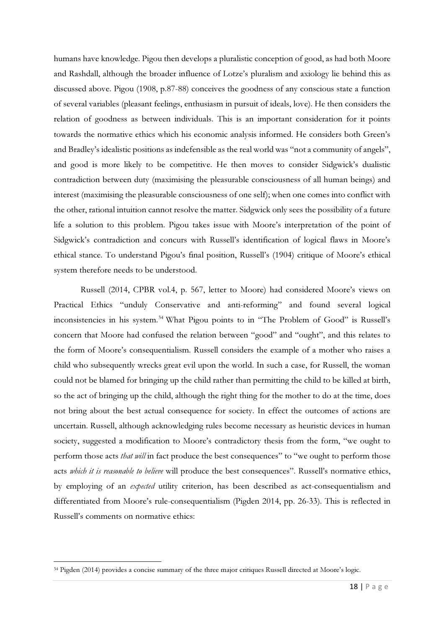humans have knowledge. Pigou then develops a pluralistic conception of good, as had both Moore and Rashdall, although the broader influence of Lotze's pluralism and axiology lie behind this as discussed above. Pigou (1908, p.87-88) conceives the goodness of any conscious state a function of several variables (pleasant feelings, enthusiasm in pursuit of ideals, love). He then considers the relation of goodness as between individuals. This is an important consideration for it points towards the normative ethics which his economic analysis informed. He considers both Green's and Bradley's idealistic positions as indefensible as the real world was "not a community of angels", and good is more likely to be competitive. He then moves to consider Sidgwick's dualistic contradiction between duty (maximising the pleasurable consciousness of all human beings) and interest (maximising the pleasurable consciousness of one self); when one comes into conflict with the other, rational intuition cannot resolve the matter. Sidgwick only sees the possibility of a future life a solution to this problem. Pigou takes issue with Moore's interpretation of the point of Sidgwick's contradiction and concurs with Russell's identification of logical flaws in Moore's ethical stance. To understand Pigou's final position, Russell's (1904) critique of Moore's ethical system therefore needs to be understood.

Russell (2014, CPBR vol.4, p. 567, letter to Moore) had considered Moore's views on Practical Ethics "unduly Conservative and anti-reforming" and found several logical inconsistencies in his system.<sup>34</sup> What Pigou points to in "The Problem of Good" is Russell's concern that Moore had confused the relation between "good" and "ought", and this relates to the form of Moore's consequentialism. Russell considers the example of a mother who raises a child who subsequently wrecks great evil upon the world. In such a case, for Russell, the woman could not be blamed for bringing up the child rather than permitting the child to be killed at birth, so the act of bringing up the child, although the right thing for the mother to do at the time, does not bring about the best actual consequence for society. In effect the outcomes of actions are uncertain. Russell, although acknowledging rules become necessary as heuristic devices in human society, suggested a modification to Moore's contradictory thesis from the form, "we ought to perform those acts *that will* in fact produce the best consequences" to "we ought to perform those acts which it is reasonable to believe will produce the best consequences". Russell's normative ethics, by employing of an expected utility criterion, has been described as act-consequentialism and differentiated from Moore's rule-consequentialism (Pigden 2014, pp. 26-33). This is reflected in Russell's comments on normative ethics:

<sup>34</sup> Pigden (2014) provides a concise summary of the three major critiques Russell directed at Moore's logic.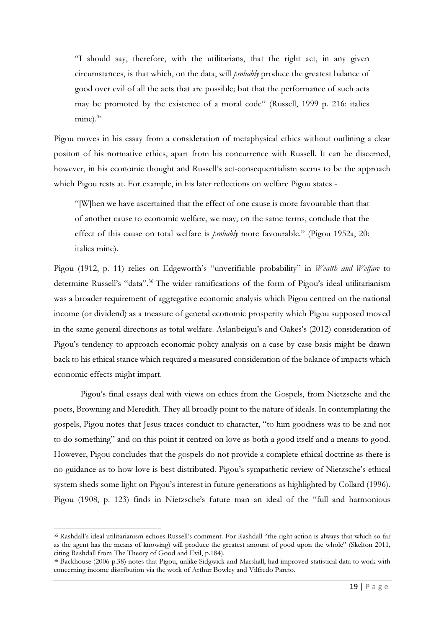"I should say, therefore, with the utilitarians, that the right act, in any given circumstances, is that which, on the data, will probably produce the greatest balance of good over evil of all the acts that are possible; but that the performance of such acts may be promoted by the existence of a moral code" (Russell, 1999 p. 216: italics mine). $35$ 

Pigou moves in his essay from a consideration of metaphysical ethics without outlining a clear positon of his normative ethics, apart from his concurrence with Russell. It can be discerned, however, in his economic thought and Russell's act-consequentialism seems to be the approach which Pigou rests at. For example, in his later reflections on welfare Pigou states -

"[W]hen we have ascertained that the effect of one cause is more favourable than that of another cause to economic welfare, we may, on the same terms, conclude that the effect of this cause on total welfare is *probably* more favourable." (Pigou 1952a, 20: italics mine).

Pigou (1912, p. 11) relies on Edgeworth's "unverifiable probability" in *Wealth and Welfare* to determine Russell's "data".<sup>36</sup> The wider ramifications of the form of Pigou's ideal utilitarianism was a broader requirement of aggregative economic analysis which Pigou centred on the national income (or dividend) as a measure of general economic prosperity which Pigou supposed moved in the same general directions as total welfare. Aslanbeigui's and Oakes's (2012) consideration of Pigou's tendency to approach economic policy analysis on a case by case basis might be drawn back to his ethical stance which required a measured consideration of the balance of impacts which economic effects might impart.

Pigou's final essays deal with views on ethics from the Gospels, from Nietzsche and the poets, Browning and Meredith. They all broadly point to the nature of ideals. In contemplating the gospels, Pigou notes that Jesus traces conduct to character, "to him goodness was to be and not to do something" and on this point it centred on love as both a good itself and a means to good. However, Pigou concludes that the gospels do not provide a complete ethical doctrine as there is no guidance as to how love is best distributed. Pigou's sympathetic review of Nietzsche's ethical system sheds some light on Pigou's interest in future generations as highlighted by Collard (1996). Pigou (1908, p. 123) finds in Nietzsche's future man an ideal of the "full and harmonious

<sup>35</sup> Rashdall's ideal utilitarianism echoes Russell's comment. For Rashdall "the right action is always that which so far as the agent has the means of knowing) will produce the greatest amount of good upon the whole" (Skelton 2011, citing Rashdall from The Theory of Good and Evil, p.184).

<sup>36</sup> Backhouse (2006 p.38) notes that Pigou, unlike Sidgwick and Marshall, had improved statistical data to work with concerning income distribution via the work of Arthur Bowley and Vilfredo Pareto.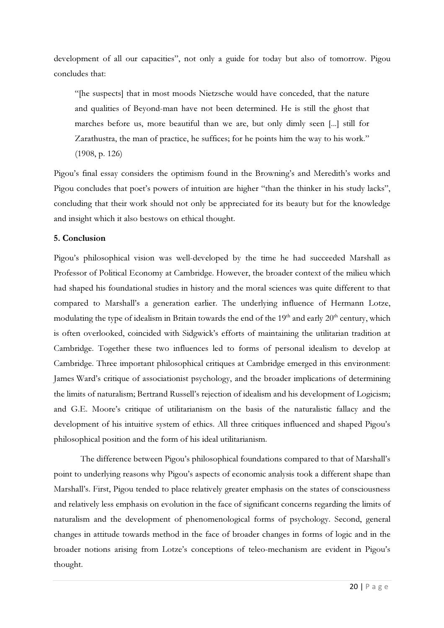development of all our capacities", not only a guide for today but also of tomorrow. Pigou concludes that:

"[he suspects] that in most moods Nietzsche would have conceded, that the nature and qualities of Beyond-man have not been determined. He is still the ghost that marches before us, more beautiful than we are, but only dimly seen [...] still for Zarathustra, the man of practice, he suffices; for he points him the way to his work." (1908, p. 126)

Pigou's final essay considers the optimism found in the Browning's and Meredith's works and Pigou concludes that poet's powers of intuition are higher "than the thinker in his study lacks", concluding that their work should not only be appreciated for its beauty but for the knowledge and insight which it also bestows on ethical thought.

### 5. Conclusion

Pigou's philosophical vision was well-developed by the time he had succeeded Marshall as Professor of Political Economy at Cambridge. However, the broader context of the milieu which had shaped his foundational studies in history and the moral sciences was quite different to that compared to Marshall's a generation earlier. The underlying influence of Hermann Lotze, modulating the type of idealism in Britain towards the end of the 19<sup>th</sup> and early 20<sup>th</sup> century, which is often overlooked, coincided with Sidgwick's efforts of maintaining the utilitarian tradition at Cambridge. Together these two influences led to forms of personal idealism to develop at Cambridge. Three important philosophical critiques at Cambridge emerged in this environment: James Ward's critique of associationist psychology, and the broader implications of determining the limits of naturalism; Bertrand Russell's rejection of idealism and his development of Logicism; and G.E. Moore's critique of utilitarianism on the basis of the naturalistic fallacy and the development of his intuitive system of ethics. All three critiques influenced and shaped Pigou's philosophical position and the form of his ideal utilitarianism.

The difference between Pigou's philosophical foundations compared to that of Marshall's point to underlying reasons why Pigou's aspects of economic analysis took a different shape than Marshall's. First, Pigou tended to place relatively greater emphasis on the states of consciousness and relatively less emphasis on evolution in the face of significant concerns regarding the limits of naturalism and the development of phenomenological forms of psychology. Second, general changes in attitude towards method in the face of broader changes in forms of logic and in the broader notions arising from Lotze's conceptions of teleo-mechanism are evident in Pigou's thought.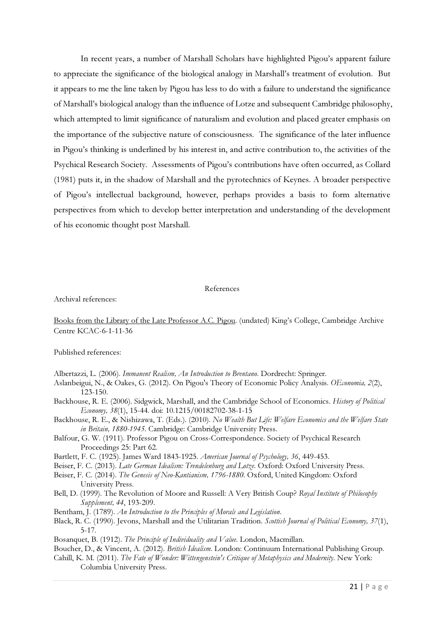In recent years, a number of Marshall Scholars have highlighted Pigou's apparent failure to appreciate the significance of the biological analogy in Marshall's treatment of evolution. But it appears to me the line taken by Pigou has less to do with a failure to understand the significance of Marshall's biological analogy than the influence of Lotze and subsequent Cambridge philosophy, which attempted to limit significance of naturalism and evolution and placed greater emphasis on the importance of the subjective nature of consciousness. The significance of the later influence in Pigou's thinking is underlined by his interest in, and active contribution to, the activities of the Psychical Research Society. Assessments of Pigou's contributions have often occurred, as Collard (1981) puts it, in the shadow of Marshall and the pyrotechnics of Keynes. A broader perspective of Pigou's intellectual background, however, perhaps provides a basis to form alternative perspectives from which to develop better interpretation and understanding of the development of his economic thought post Marshall.

#### References

Archival references:

Books from the Library of the Late Professor A.C. Pigou. (undated) King's College, Cambridge Archive Centre KCAC-6-1-11-36

Published references:

Albertazzi, L. (2006). Immanent Realism, An Introduction to Brentano. Dordrecht: Springer.

- Aslanbeigui, N., & Oakes, G. (2012). On Pigou's Theory of Economic Policy Analysis. OEconomia, 2(2), 123-150.
- Backhouse, R. E. (2006). Sidgwick, Marshall, and the Cambridge School of Economics. History of Political Economy, 38(1), 15-44. doi: 10.1215/00182702-38-1-15
- Backhouse, R. E., & Nishizawa, T. (Eds.). (2010). No Wealth But Life: Welfare Economics and the Welfare State in Britain, 1880-1945. Cambridge: Cambridge University Press.
- Balfour, G. W. (1911). Professor Pigou on Cross-Correspondence. Society of Psychical Research Proceedings 25: Part 62.
- Bartlett, F. C. (1925). James Ward 1843-1925. American Journal of Psychology, 36, 449-453.
- Beiser, F. C. (2013). Late German Idealism: Trendelenburg and Lotze. Oxford: Oxford University Press.
- Beiser, F. C. (2014). The Genesis of Neo-Kantianism, 1796-1880. Oxford, United Kingdom: Oxford University Press.
- Bell, D. (1999). The Revolution of Moore and Russell: A Very British Coup? Royal Institute of Philosophy Supplement, 44, 193-209.
- Bentham, J. (1789). An Introduction to the Principles of Morals and Legislation.
- Black, R. C. (1990). Jevons, Marshall and the Utilitarian Tradition. Scottish Journal of Political Economy, 37(1), 5-17.
- Bosanquet, B. (1912). The Principle of Individuality and Value. London, Macmillan.
- Boucher, D., & Vincent, A. (2012). British Idealism. London: Continuum International Publishing Group.
- Cahill, K. M. (2011). The Fate of Wonder: Wittengenstein's Critique of Metaphysics and Modernity. New York: Columbia University Press.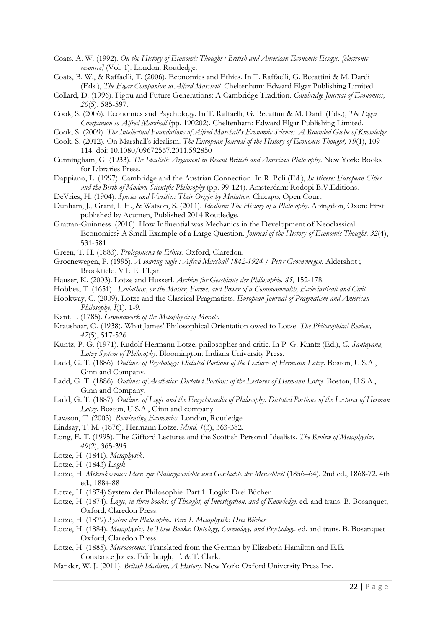- Coats, A. W. (1992). On the History of Economic Thought : British and American Economic Essays. [electronic resource] (Vol. 1). London: Routledge.
- Coats, B. W., & Raffaelli, T. (2006). Economics and Ethics. In T. Raffaelli, G. Becattini & M. Dardi (Eds.), The Elgar Companion to Alfred Marshall. Cheltenham: Edward Elgar Publishing Limited.
- Collard, D. (1996). Pigou and Future Generations: A Cambridge Tradition. Cambridge Journal of Economics, 20(5), 585-597.
- Cook, S. (2006). Economics and Psychology. In T. Raffaelli, G. Becattini & M. Dardi (Eds.), The Elgar Companion to Alfred Marshall (pp. 190202). Cheltenham: Edward Elgar Publishing Limited.
- Cook, S. (2009). The Intellectual Foundations of Alfred Marshall's Economic Science: A Rounded Globe of Knowledge
- Cook, S. (2012). On Marshall's idealism. The European Journal of the History of Economic Thought, 19(1), 109- 114. doi: 10.1080/09672567.2011.592850
- Cunningham, G. (1933). The Idealistic Argument in Recent British and American Philosophy. New York: Books for Libraries Press.
- Dappiano, L. (1997). Cambridge and the Austrian Connection. In R. Poli (Ed.), In Itinere: European Cities and the Birth of Modern Scientific Philosophy (pp. 99-124). Amsterdam: Rodopi B.V.Editions.
- DeVries, H. (1904). Species and Varities: Their Origin by Mutation. Chicago, Open Court
- Dunham, J., Grant, I. H., & Watson, S. (2011). Idealism: The History of a Philosophy. Abingdon, Oxon: First published by Acumen, Published 2014 Routledge.
- Grattan-Guinness. (2010). How Influential was Mechanics in the Development of Neoclassical Economics? A Small Example of a Large Question. Journal of the History of Economic Thought, 32(4), 531-581.
- Green, T. H. (1883). Prolegomena to Ethics. Oxford, Claredon.
- Groenewegen, P. (1995). A soaring eagle : Alfred Marshall 1842-1924 / Peter Groenewegen. Aldershot ; Brookfield, VT: E. Elgar.
- Hauser, K. (2003). Lotze and Husserl. Archive fur Geschichte der Philosophie, 85, 152-178.
- Hobbes, T. (1651). Leviathan, or the Matter, Forme, and Power of a Commonwealth, Ecclesiasticall and Civil.
- Hookway, C. (2009). Lotze and the Classical Pragmatists. European Journal of Pragmatism and American Philosophy,  $I(1)$ , 1-9.
- Kant, I. (1785). Groundwork of the Metaphysic of Morals.
- Kraushaar, O. (1938). What James' Philosophical Orientation owed to Lotze. The Philosophical Review, 47(5), 517-526.
- Kuntz, P. G. (1971). Rudolf Hermann Lotze, philosopher and critic. In P. G. Kuntz (Ed.), G. Santayana, Lotze System of Philosophy. Bloomington: Indiana University Press.
- Ladd, G. T. (1886). Outlines of Psychology: Dictated Portions of the Lectures of Hermann Lotze. Boston, U.S.A., Ginn and Company.
- Ladd, G. T. (1886). Outlines of Aesthetics: Dictated Portions of the Lectures of Hermann Lotze. Boston, U.S.A., Ginn and Company.
- Ladd, G. T. (1887). Outlines of Logic and the Encyclopaedia of Philosophy: Dictated Portions of the Lectures of Herman Lotze. Boston, U.S.A., Ginn and company.
- Lawson, T. (2003). Reorienting Economics. London, Routledge.
- Lindsay, T. M. (1876). Hermann Lotze. Mind, 1(3), 363-382.
- Long, E. T. (1995). The Gifford Lectures and the Scottish Personal Idealists. The Review of Metaphysics, 49(2), 365-395.
- Lotze, H. (1841). Metaphysik.
- Lotze, H. (1843) Logik
- Lotze, H. Mikrokosmus: Ideen zur Naturgeschichte und Geschichte der Menschheit (1856–64). 2nd ed., 1868-72. 4th ed., 1884-88
- Lotze, H. (1874) System der Philosophie. Part 1. Logik: Drei Bücher
- Lotze, H. (1874). Logic, in three books: of Thought, of Investigation, and of Knowledge. ed. and trans. B. Bosanquet, Oxford, Claredon Press.
- Lotze, H. (1879) System der Philosophie. Part 1. Metaphysik: Drei Bücher
- Lotze, H. (1884). Metaphysics, In Three Books: Ontology, Cosmology, and Psychology. ed. and trans. B. Bosanquet Oxford, Claredon Press.
- Lotze, H. (1885). Microcosmus. Translated from the German by Elizabeth Hamilton and E.E. Constance Jones. Edinburgh, T. & T. Clark.
- Mander, W. J. (2011). British Idealism, A History. New York: Oxford University Press Inc.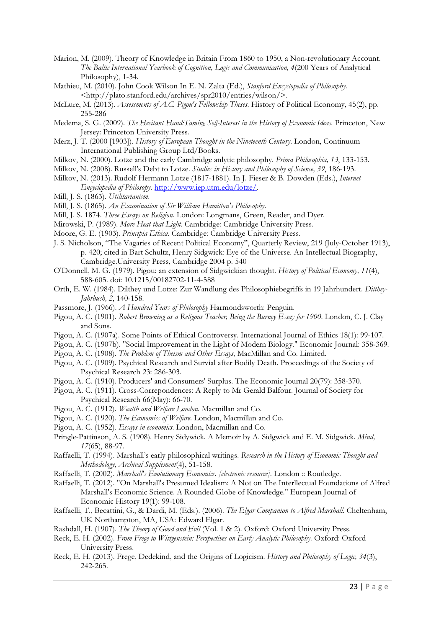- Marion, M. (2009). Theory of Knowledge in Britain From 1860 to 1950, a Non-revolutionary Account. The Baltic International Yearbook of Cognition, Logic and Communication, 4(200 Years of Analytical Philosophy), 1-34.
- Mathieu, M. (2010). John Cook Wilson In E. N. Zalta (Ed.), Stanford Encyclopedia of Philosophy. <http://plato.stanford.edu/archives/spr2010/entries/wilson/>.
- McLure, M. (2013). Assessments of A.C. Pigou's Fellowship Theses. History of Political Economy, 45(2), pp. 255-286
- Medema, S. G. (2009). The Hesitant Hand:Taming Self-Interest in the History of Economic Ideas. Princeton, New Jersey: Princeton University Press.
- Merz, J. T. (2000 [1903]). History of European Thought in the Nineteenth Century. London, Continuum International Publishing Group Ltd/Books.
- Milkov, N. (2000). Lotze and the early Cambridge anlytic philosophy. Prima Philosophia, 13, 133-153.
- Milkov, N. (2008). Russell's Debt to Lotze. Studies in History and Philosophy of Science, 39, 186-193.
- Milkov, N. (2013). Rudolf Hermann Lotze (1817-1881). In J. Fieser & B. Dowden (Eds.), Internet Encyclopedia of Philosopy. http://www.iep.utm.edu/lotze/.
- Mill, J. S. (1863). Utilitarianism.
- Mill, J. S. (1865). An Examination of Sir William Hamilton's Philosophy.
- Mill, J. S. 1874. Three Essays on Religion. London: Longmans, Green, Reader, and Dyer.
- Mirowski, P. (1989). More Heat that Light. Cambridge: Cambridge University Press.
- Moore, G. E. (1903). Principia Ethica. Cambridge: Cambridge University Press.
- J. S. Nicholson, "The Vagaries of Recent Political Economy", Quarterly Review, 219 (July-October 1913), p. 420; cited in Bart Schultz, Henry Sidgwick: Eye of the Universe. An Intellectual Biography, Cambridge.University Press, Cambridge 2004 p. 540
- O'Donnell, M. G. (1979). Pigou: an extension of Sidgwickian thought. History of Political Economy, 11(4), 588-605. doi: 10.1215/00182702-11-4-588
- Orth, E. W. (1984). Dilthey und Lotze: Zur Wandlung des Philosophiebegriffs in 19 Jahrhundert. Dilthey-Jahrbuch, 2, 140-158.
- Passmore, J. (1966). A Hundred Years of Philosophy Harmondsworth: Penguin.
- Pigou, A. C. (1901). Robert Browning as a Religous Teacher, Being the Burney Essay for 1900. London, C. J. Clay and Sons.
- Pigou, A. C. (1907a). Some Points of Ethical Controversy. International Journal of Ethics 18(1): 99-107.
- Pigou, A. C. (1907b). "Social Improvement in the Light of Modern Biology." Economic Journal: 358-369.
- Pigou, A. C. (1908). The Problem of Theism and Other Essays, MacMillan and Co. Limited.
- Pigou, A. C. (1909). Psychical Research and Survial after Bodily Death. Proceedings of the Society of Psychical Research 23: 286-303.
- Pigou, A. C. (1910). Producers' and Consumers' Surplus. The Economic Journal 20(79): 358-370.
- Pigou, A. C. (1911). Cross-Correpondences: A Reply to Mr Gerald Balfour. Journal of Society for Psychical Research 66(May): 66-70.
- Pigou, A. C. (1912). Wealth and Welfare London. Macmillan and Co.
- Pigou, A. C. (1920). The Economics of Welfare. London, Macmillan and Co.
- Pigou, A. C. (1952). Essays in economics. London, Macmillan and Co.
- Pringle-Pattinson, A. S. (1908). Henry Sidywick. A Memoir by A. Sidgwick and E. M. Sidgwick. Mind, 17(65), 88-97.
- Raffaelli, T. (1994). Marshall's early philosophical writings. Research in the History of Economic Thought and Methodology, Archival Supplement(4), 51-158.
- Raffaelli, T. (2002). Marshall's Evolutionary Economics. [electronic resource]. London :: Routledge.
- Raffaelli, T. (2012). "On Marshall's Presumed Idealism: A Not on The Interllectual Foundations of Alfred Marshall's Economic Science. A Rounded Globe of Knowledge." European Journal of Economic History 19(1): 99-108.
- Raffaelli, T., Becattini, G., & Dardi, M. (Eds.). (2006). The Elgar Companion to Alfred Marshall. Cheltenham, UK Northampton, MA, USA: Edward Elgar.
- Rashdall, H. (1907). The Theory of Good and Evil (Vol. 1 & 2). Oxford: Oxford University Press.
- Reck, E. H. (2002). From Frege to Wittgenstein: Perspectives on Early Analytic Philosophy. Oxford: Oxford University Press.
- Reck, E. H. (2013). Frege, Dedekind, and the Origins of Logicism. History and Philosophy of Logic, 34(3), 242-265.